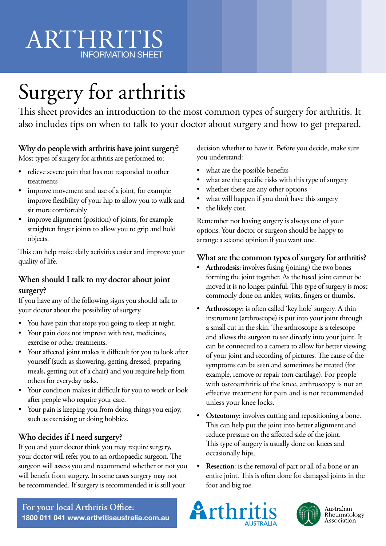# **ARTHRIT** INFORMATION SHEET

# Surgery for arthritis

This sheet provides an introduction to the most common types of surgery for arthritis. It also includes tips on when to talk to your doctor about surgery and how to get prepared.

### **Why do people with arthritis have joint surgery?**

Most types of surgery for arthritis are performed to:

- relieve severe pain that has not responded to other treatments
- improve movement and use of a joint, for example improve flexibility of your hip to allow you to walk and sit more comfortably
- improve alignment (position) of joints, for example straighten finger joints to allow you to grip and hold objects.

This can help make daily activities easier and improve your quality of life.

### **When should I talk to my doctor about joint surgery?**

If you have any of the following signs you should talk to your doctor about the possibility of surgery.

- You have pain that stops you going to sleep at night.
- Your pain does not improve with rest, medicines, exercise or other treatments.
- Your affected joint makes it difficult for you to look after yourself (such as showering, getting dressed, preparing meals, getting out of a chair) and you require help from others for everyday tasks.
- Your condition makes it difficult for you to work or look after people who require your care.
- Your pain is keeping you from doing things you enjoy, such as exercising or doing hobbies.

### **Who decides if I need surgery?**

If you and your doctor think you may require surgery, your doctor will refer you to an orthopaedic surgeon. The surgeon will assess you and recommend whether or not you will benefit from surgery. In some cases surgery may not be recommended. If surgery is recommended it is still your

decision whether to have it. Before you decide, make sure you understand:

- what are the possible benefits
- what are the specific risks with this type of surgery
- whether there are any other options
- what will happen if you don't have this surgery
- the likely cost.

Remember not having surgery is always one of your options. Your doctor or surgeon should be happy to arrange a second opinion if you want one.

### **What are the common types of surgery for arthritis?**

- **Arthrodesis:** involves fusing (joining) the two bones forming the joint together. As the fused joint cannot be moved it is no longer painful. This type of surgery is most commonly done on ankles, wrists, fingers or thumbs.
- **Arthroscopy:** is often called 'key hole' surgery. A thin instrument (arthroscope) is put into your joint through a small cut in the skin. The arthroscope is a telescope and allows the surgeon to see directly into your joint. It can be connected to a camera to allow for better viewing of your joint and recording of pictures. The cause of the symptoms can be seen and sometimes be treated (for example, remove or repair torn cartilage). For people with osteoarthritis of the knee, arthroscopy is not an effective treatment for pain and is not recommended unless your knee locks.
- **Osteotomy:** involves cutting and repositioning a bone. This can help put the joint into better alignment and reduce pressure on the affected side of the joint. This type of surgery is usually done on knees and occasionally hips.
- **Resection:** is the removal of part or all of a bone or an entire joint. This is often done for damaged joints in the foot and big toe.





**For your local Arthritis Office: 1800 011 041 www.arthritisaustralia.com.au**